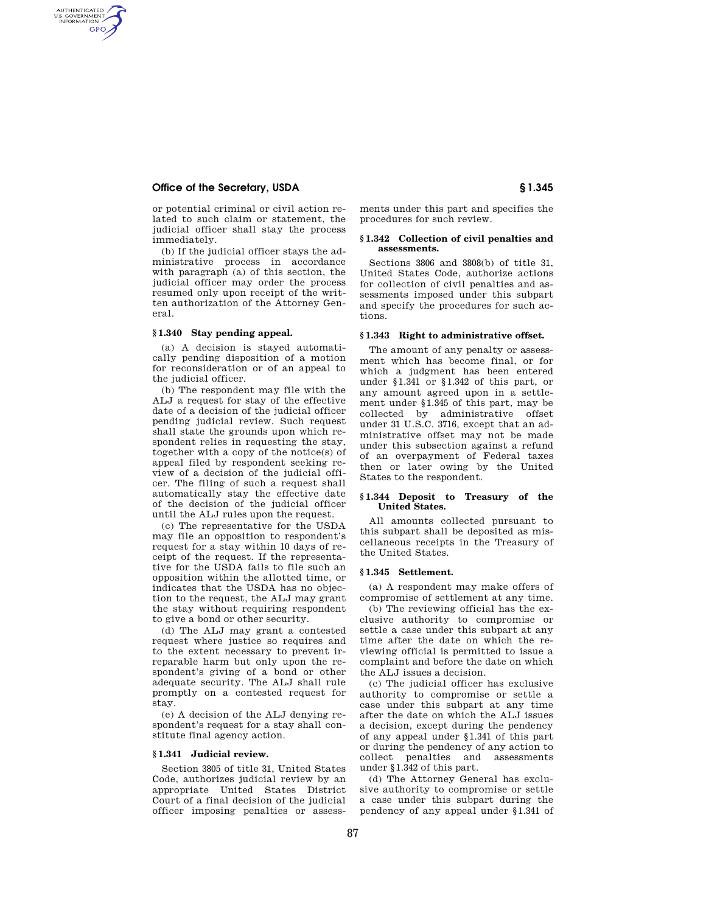# **Office of the Secretary, USDA § 1.345**

AUTHENTICATED<br>U.S. GOVERNMENT<br>INFORMATION **GPO** 

> or potential criminal or civil action related to such claim or statement, the judicial officer shall stay the process immediately.

> (b) If the judicial officer stays the administrative process in accordance with paragraph (a) of this section, the judicial officer may order the process resumed only upon receipt of the written authorization of the Attorney General.

#### **§ 1.340 Stay pending appeal.**

(a) A decision is stayed automatically pending disposition of a motion for reconsideration or of an appeal to the judicial officer.

(b) The respondent may file with the ALJ a request for stay of the effective date of a decision of the judicial officer pending judicial review. Such request shall state the grounds upon which respondent relies in requesting the stay, together with a copy of the notice(s) of appeal filed by respondent seeking review of a decision of the judicial officer. The filing of such a request shall automatically stay the effective date of the decision of the judicial officer until the ALJ rules upon the request.

(c) The representative for the USDA may file an opposition to respondent's request for a stay within 10 days of receipt of the request. If the representative for the USDA fails to file such an opposition within the allotted time, or indicates that the USDA has no objection to the request, the ALJ may grant the stay without requiring respondent to give a bond or other security.

(d) The ALJ may grant a contested request where justice so requires and to the extent necessary to prevent irreparable harm but only upon the respondent's giving of a bond or other adequate security. The ALJ shall rule promptly on a contested request for stay.

(e) A decision of the ALJ denying respondent's request for a stay shall constitute final agency action.

### **§ 1.341 Judicial review.**

Section 3805 of title 31, United States Code, authorizes judicial review by an appropriate United States District Court of a final decision of the judicial officer imposing penalties or assess-

ments under this part and specifies the procedures for such review.

#### **§ 1.342 Collection of civil penalties and assessments.**

Sections 3806 and 3808(b) of title 31, United States Code, authorize actions for collection of civil penalties and assessments imposed under this subpart and specify the procedures for such actions.

# **§ 1.343 Right to administrative offset.**

The amount of any penalty or assessment which has become final, or for which a judgment has been entered under §1.341 or §1.342 of this part, or any amount agreed upon in a settlement under §1.345 of this part, may be collected by administrative offset under 31 U.S.C. 3716, except that an administrative offset may not be made under this subsection against a refund of an overpayment of Federal taxes then or later owing by the United States to the respondent.

#### **§ 1.344 Deposit to Treasury of the United States.**

All amounts collected pursuant to this subpart shall be deposited as miscellaneous receipts in the Treasury of the United States.

## **§ 1.345 Settlement.**

(a) A respondent may make offers of compromise of settlement at any time.

(b) The reviewing official has the exclusive authority to compromise or settle a case under this subpart at any time after the date on which the reviewing official is permitted to issue a complaint and before the date on which the ALJ issues a decision.

(c) The judicial officer has exclusive authority to compromise or settle a case under this subpart at any time after the date on which the ALJ issues a decision, except during the pendency of any appeal under §1.341 of this part or during the pendency of any action to collect penalties and assessments under §1.342 of this part.

(d) The Attorney General has exclusive authority to compromise or settle a case under this subpart during the pendency of any appeal under §1.341 of